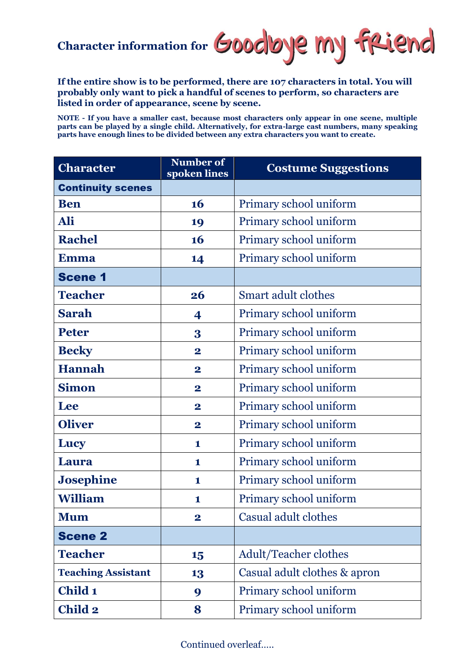## **Character information for Goodbye my friend**

**If the entire show is to be performed, there are 107 characters in total. You will probably only want to pick a handful of scenes to perform, so characters are listed in order of appearance, scene by scene.**

**NOTE - If you have a smaller cast, because most characters only appear in one scene, multiple**  parts can be played by a single child. Alternatively, for extra-large cast numbers, many speaking **parts have enough lines to be divided between any extra characters you want to create.**

| <b>Character</b>          | <b>Number of</b><br>spoken lines | <b>Costume Suggestions</b>   |
|---------------------------|----------------------------------|------------------------------|
| <b>Continuity scenes</b>  |                                  |                              |
| <b>Ben</b>                | 16                               | Primary school uniform       |
| Ali                       | 19                               | Primary school uniform       |
| <b>Rachel</b>             | 16                               | Primary school uniform       |
| <b>Emma</b>               | 14                               | Primary school uniform       |
| <b>Scene 1</b>            |                                  |                              |
| <b>Teacher</b>            | 26                               | <b>Smart adult clothes</b>   |
| <b>Sarah</b>              | 4                                | Primary school uniform       |
| <b>Peter</b>              | 3                                | Primary school uniform       |
| <b>Becky</b>              | $\overline{\mathbf{2}}$          | Primary school uniform       |
| <b>Hannah</b>             | $\overline{\mathbf{2}}$          | Primary school uniform       |
| <b>Simon</b>              | $\overline{\mathbf{2}}$          | Primary school uniform       |
| Lee                       | $\overline{\mathbf{2}}$          | Primary school uniform       |
| <b>Oliver</b>             | $\overline{\mathbf{2}}$          | Primary school uniform       |
| <b>Lucy</b>               | 1                                | Primary school uniform       |
| Laura                     | $\mathbf{1}$                     | Primary school uniform       |
| <b>Josephine</b>          | 1                                | Primary school uniform       |
| <b>William</b>            | 1                                | Primary school uniform       |
| <b>Mum</b>                | $\mathbf 2$                      | <b>Casual adult clothes</b>  |
| <b>Scene 2</b>            |                                  |                              |
| <b>Teacher</b>            | 15                               | <b>Adult/Teacher clothes</b> |
| <b>Teaching Assistant</b> | 13                               | Casual adult clothes & apron |
| Child 1                   | 9                                | Primary school uniform       |
| <b>Child 2</b>            | 8                                | Primary school uniform       |

## Continued overleaf…..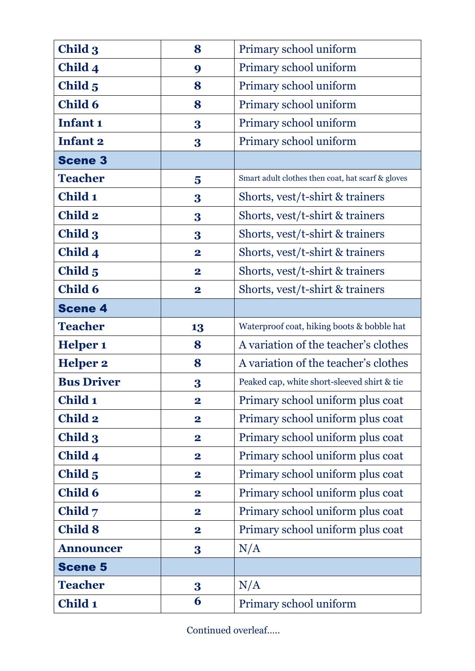| Child <sub>3</sub>  | 8                       | Primary school uniform                            |
|---------------------|-------------------------|---------------------------------------------------|
| Child 4             | 9                       | Primary school uniform                            |
| Child <sub>5</sub>  | 8                       | Primary school uniform                            |
| <b>Child 6</b>      | 8                       | Primary school uniform                            |
| Infant 1            | 3                       | Primary school uniform                            |
| <b>Infant 2</b>     | 3                       | Primary school uniform                            |
| <b>Scene 3</b>      |                         |                                                   |
| <b>Teacher</b>      | $\overline{\mathbf{5}}$ | Smart adult clothes then coat, hat scarf & gloves |
| Child 1             | 3                       | Shorts, vest/t-shirt & trainers                   |
| <b>Child 2</b>      | 3                       | Shorts, vest/t-shirt & trainers                   |
| Child 3             | 3                       | Shorts, vest/t-shirt & trainers                   |
| Child 4             | $\overline{\mathbf{2}}$ | Shorts, vest/t-shirt & trainers                   |
| Child <sub>5</sub>  | $\overline{\mathbf{2}}$ | Shorts, vest/t-shirt & trainers                   |
| <b>Child 6</b>      | $\overline{\mathbf{2}}$ | Shorts, vest/t-shirt & trainers                   |
| <b>Scene 4</b>      |                         |                                                   |
| <b>Teacher</b>      | 13                      | Waterproof coat, hiking boots & bobble hat        |
| Helper <sub>1</sub> | 8                       | A variation of the teacher's clothes              |
| <b>Helper 2</b>     | 8                       | A variation of the teacher's clothes              |
| <b>Bus Driver</b>   | 3                       | Peaked cap, white short-sleeved shirt & tie       |
| Child 1             | $\overline{\mathbf{2}}$ | Primary school uniform plus coat                  |
| <b>Child 2</b>      | $\overline{\mathbf{2}}$ | Primary school uniform plus coat                  |
| Child 3             | $\overline{\mathbf{2}}$ | Primary school uniform plus coat                  |
| Child 4             | $\overline{\mathbf{2}}$ | Primary school uniform plus coat                  |
| Child <sub>5</sub>  | $\overline{\mathbf{2}}$ | Primary school uniform plus coat                  |
| <b>Child 6</b>      | $\overline{\mathbf{2}}$ | Primary school uniform plus coat                  |
| Child 7             | $\overline{\mathbf{2}}$ | Primary school uniform plus coat                  |
| <b>Child 8</b>      | $\overline{\mathbf{2}}$ | Primary school uniform plus coat                  |
| <b>Announcer</b>    | $\overline{\mathbf{3}}$ | N/A                                               |
| <b>Scene 5</b>      |                         |                                                   |
| <b>Teacher</b>      | $\overline{\mathbf{3}}$ | N/A                                               |
| Child 1             | 6                       | Primary school uniform                            |

Continued overleaf…..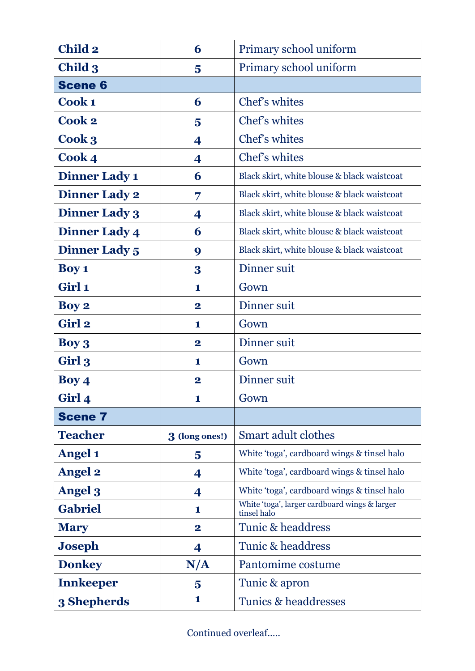| <b>Child 2</b>       | 6                       | Primary school uniform                                       |
|----------------------|-------------------------|--------------------------------------------------------------|
| Child 3              | $\overline{\mathbf{5}}$ | Primary school uniform                                       |
| <b>Scene 6</b>       |                         |                                                              |
| Cook 1               | 6                       | Chef's whites                                                |
| <b>Cook 2</b>        | $\overline{\mathbf{5}}$ | Chef's whites                                                |
| Cook 3               | 4                       | Chef's whites                                                |
| Cook 4               | 4                       | Chef's whites                                                |
| <b>Dinner Lady 1</b> | 6                       | Black skirt, white blouse & black waistcoat                  |
| <b>Dinner Lady 2</b> | 7                       | Black skirt, white blouse & black waistcoat                  |
| <b>Dinner Lady 3</b> | 4                       | Black skirt, white blouse & black waistcoat                  |
| <b>Dinner Lady 4</b> | 6                       | Black skirt, white blouse & black waistcoat                  |
| <b>Dinner Lady 5</b> | 9                       | Black skirt, white blouse & black waistcoat                  |
| <b>Boy 1</b>         | 3                       | Dinner suit                                                  |
| Girl 1               | 1                       | Gown                                                         |
| <b>Boy 2</b>         | $\overline{\mathbf{2}}$ | Dinner suit                                                  |
| Girl 2               | 1                       | Gown                                                         |
| <b>Boy 3</b>         | $\overline{\mathbf{2}}$ | Dinner suit                                                  |
| Girl 3               | 1                       | Gown                                                         |
| <b>Boy 4</b>         | $\mathbf 2$             | Dinner suit                                                  |
| Girl 4               | 1                       | Gown                                                         |
| <b>Scene 7</b>       |                         |                                                              |
| <b>Teacher</b>       | 3 (long ones!)          | <b>Smart adult clothes</b>                                   |
| <b>Angel 1</b>       | $\overline{\mathbf{5}}$ | White 'toga', cardboard wings & tinsel halo                  |
| <b>Angel 2</b>       | 4                       | White 'toga', cardboard wings & tinsel halo                  |
| <b>Angel 3</b>       | 4                       | White 'toga', cardboard wings & tinsel halo                  |
| <b>Gabriel</b>       | 1                       | White 'toga', larger cardboard wings & larger<br>tinsel halo |
| <b>Mary</b>          | $\overline{\mathbf{2}}$ | Tunic & headdress                                            |
| <b>Joseph</b>        | 4                       | Tunic & headdress                                            |
| <b>Donkey</b>        | N/A                     | Pantomime costume                                            |
| <b>Innkeeper</b>     | 5                       | Tunic & apron                                                |
| 3 Shepherds          | 1                       | Tunics & headdresses                                         |

Continued overleaf…..